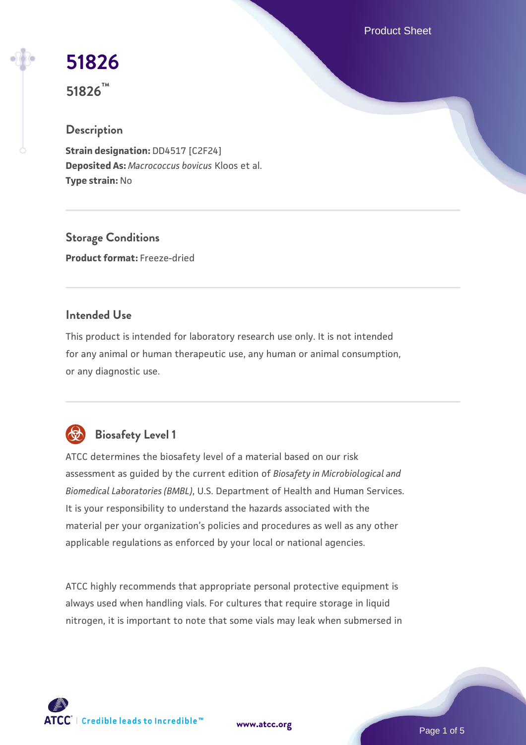Product Sheet

# **[51826](https://www.atcc.org/products/51826)**

**51826™**

# **Description**

**Strain designation:** DD4517 [C2F24] **Deposited As:** *Macrococcus bovicus* Kloos et al. **Type strain:** No

**Storage Conditions Product format:** Freeze-dried

### **Intended Use**

This product is intended for laboratory research use only. It is not intended for any animal or human therapeutic use, any human or animal consumption, or any diagnostic use.



# **Biosafety Level 1**

ATCC determines the biosafety level of a material based on our risk assessment as guided by the current edition of *Biosafety in Microbiological and Biomedical Laboratories (BMBL)*, U.S. Department of Health and Human Services. It is your responsibility to understand the hazards associated with the material per your organization's policies and procedures as well as any other applicable regulations as enforced by your local or national agencies.

ATCC highly recommends that appropriate personal protective equipment is always used when handling vials. For cultures that require storage in liquid nitrogen, it is important to note that some vials may leak when submersed in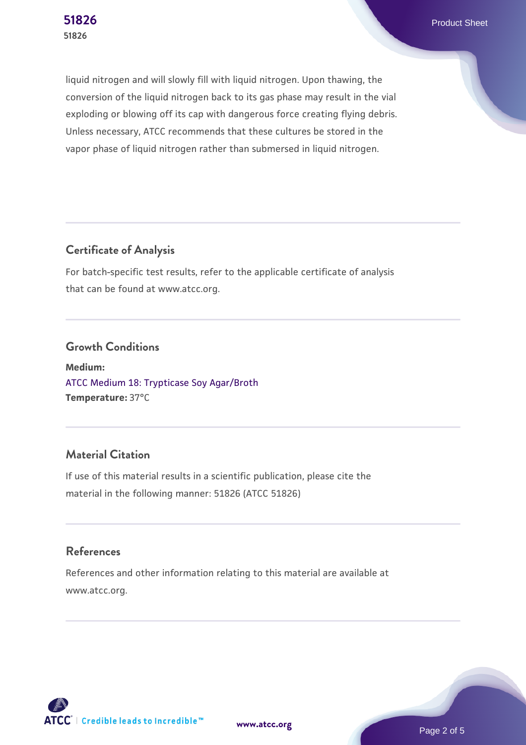**[51826](https://www.atcc.org/products/51826)** Product Sheet

liquid nitrogen and will slowly fill with liquid nitrogen. Upon thawing, the conversion of the liquid nitrogen back to its gas phase may result in the vial exploding or blowing off its cap with dangerous force creating flying debris. Unless necessary, ATCC recommends that these cultures be stored in the vapor phase of liquid nitrogen rather than submersed in liquid nitrogen.

### **Certificate of Analysis**

For batch-specific test results, refer to the applicable certificate of analysis that can be found at www.atcc.org.

#### **Growth Conditions**

**Medium:**  [ATCC Medium 18: Trypticase Soy Agar/Broth](https://www.atcc.org/-/media/product-assets/documents/microbial-media-formulations/1/8/atcc-medium-18.pdf?rev=832846e1425841f19fc70569848edae7) **Temperature:** 37°C

## **Material Citation**

If use of this material results in a scientific publication, please cite the material in the following manner: 51826 (ATCC 51826)

#### **References**

References and other information relating to this material are available at www.atcc.org.



**[www.atcc.org](http://www.atcc.org)**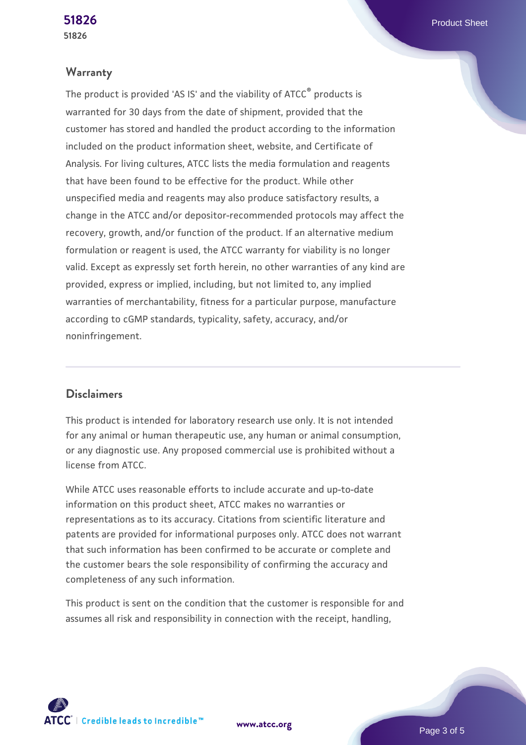#### **Warranty**

The product is provided 'AS IS' and the viability of ATCC® products is warranted for 30 days from the date of shipment, provided that the customer has stored and handled the product according to the information included on the product information sheet, website, and Certificate of Analysis. For living cultures, ATCC lists the media formulation and reagents that have been found to be effective for the product. While other unspecified media and reagents may also produce satisfactory results, a change in the ATCC and/or depositor-recommended protocols may affect the recovery, growth, and/or function of the product. If an alternative medium formulation or reagent is used, the ATCC warranty for viability is no longer valid. Except as expressly set forth herein, no other warranties of any kind are provided, express or implied, including, but not limited to, any implied warranties of merchantability, fitness for a particular purpose, manufacture according to cGMP standards, typicality, safety, accuracy, and/or noninfringement.

#### **Disclaimers**

This product is intended for laboratory research use only. It is not intended for any animal or human therapeutic use, any human or animal consumption, or any diagnostic use. Any proposed commercial use is prohibited without a license from ATCC.

While ATCC uses reasonable efforts to include accurate and up-to-date information on this product sheet, ATCC makes no warranties or representations as to its accuracy. Citations from scientific literature and patents are provided for informational purposes only. ATCC does not warrant that such information has been confirmed to be accurate or complete and the customer bears the sole responsibility of confirming the accuracy and completeness of any such information.

This product is sent on the condition that the customer is responsible for and assumes all risk and responsibility in connection with the receipt, handling,

**[www.atcc.org](http://www.atcc.org)**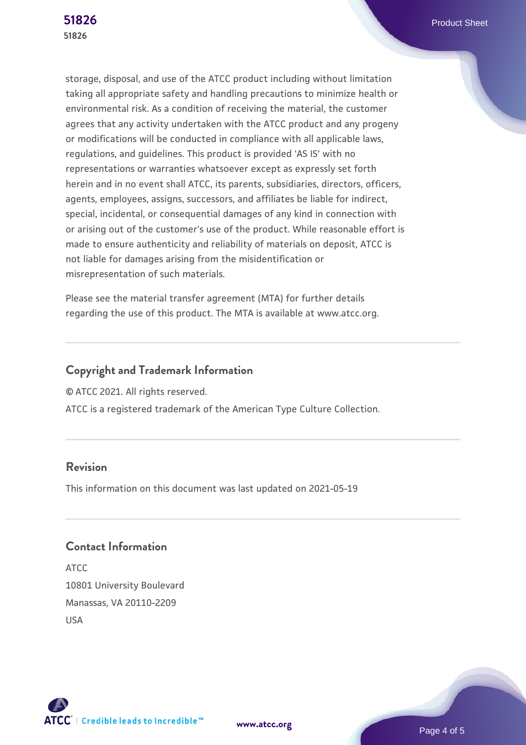storage, disposal, and use of the ATCC product including without limitation taking all appropriate safety and handling precautions to minimize health or environmental risk. As a condition of receiving the material, the customer agrees that any activity undertaken with the ATCC product and any progeny or modifications will be conducted in compliance with all applicable laws, regulations, and guidelines. This product is provided 'AS IS' with no representations or warranties whatsoever except as expressly set forth herein and in no event shall ATCC, its parents, subsidiaries, directors, officers, agents, employees, assigns, successors, and affiliates be liable for indirect, special, incidental, or consequential damages of any kind in connection with or arising out of the customer's use of the product. While reasonable effort is made to ensure authenticity and reliability of materials on deposit, ATCC is not liable for damages arising from the misidentification or misrepresentation of such materials.

Please see the material transfer agreement (MTA) for further details regarding the use of this product. The MTA is available at www.atcc.org.

# **Copyright and Trademark Information**

© ATCC 2021. All rights reserved.

ATCC is a registered trademark of the American Type Culture Collection.

#### **Revision**

This information on this document was last updated on 2021-05-19

# **Contact Information**

ATCC 10801 University Boulevard Manassas, VA 20110-2209 USA